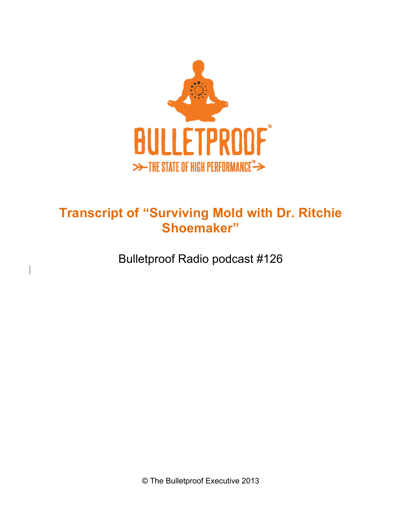

# **Transcript of "Surviving Mold with Dr. Ritchie Shoemaker"**

Bulletproof Radio podcast #126

© The Bulletproof Executive 2013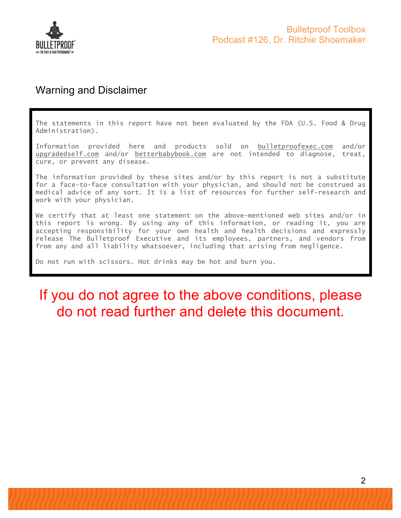

### Warning and Disclaimer

The statements in this report have not been evaluated by the FDA (U.S. Food & Drug Administration).

Information provided here and products sold on bulletproofexec.com and/or upgradedself.com and/or betterbabybook.com are not intended to diagnose, treat, cure, or prevent any disease.

The information provided by these sites and/or by this report is not a substitute for a face-to-face consultation with your physician, and should not be construed as medical advice of any sort. It is a list of resources for further self-research and work with your physician.

We certify that at least one statement on the above-mentioned web sites and/or in this report is wrong. By using any of this information, or reading it, you are accepting responsibility for your own health and health decisions and expressly release The Bulletproof Executive and its employees, partners, and vendors from from any and all liability whatsoever, including that arising from negligence.

Do not run with scissors. Hot drinks may be hot and burn you.

# If you do not agree to the above conditions, please do not read further and delete this document.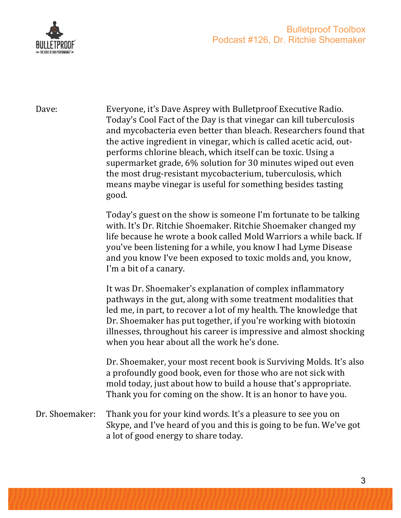

Dave: Everyone, it's Dave Asprey with Bulletproof Executive Radio. Today's Cool Fact of the Day is that vinegar can kill tuberculosis and mycobacteria even better than bleach. Researchers found that the active ingredient in vinegar, which is called acetic acid, outperforms chlorine bleach, which itself can be toxic. Using a supermarket grade, 6% solution for 30 minutes wiped out even the most drug-resistant mycobacterium, tuberculosis, which means maybe vinegar is useful for something besides tasting good.

> Today's guest on the show is someone I'm fortunate to be talking with. It's Dr. Ritchie Shoemaker. Ritchie Shoemaker changed my life because he wrote a book called Mold Warriors a while back. If you've been listening for a while, you know I had Lyme Disease and you know I've been exposed to toxic molds and, you know, I'm a bit of a canary.

> It was Dr. Shoemaker's explanation of complex inflammatory pathways in the gut, along with some treatment modalities that led me, in part, to recover a lot of my health. The knowledge that Dr. Shoemaker has put together, if you're working with biotoxin illnesses, throughout his career is impressive and almost shocking when you hear about all the work he's done.

> Dr. Shoemaker, your most recent book is Surviving Molds. It's also a profoundly good book, even for those who are not sick with mold today, just about how to build a house that's appropriate. Thank you for coming on the show. It is an honor to have you.

Dr. Shoemaker: Thank you for your kind words. It's a pleasure to see you on Skype, and I've heard of you and this is going to be fun. We've got a lot of good energy to share today.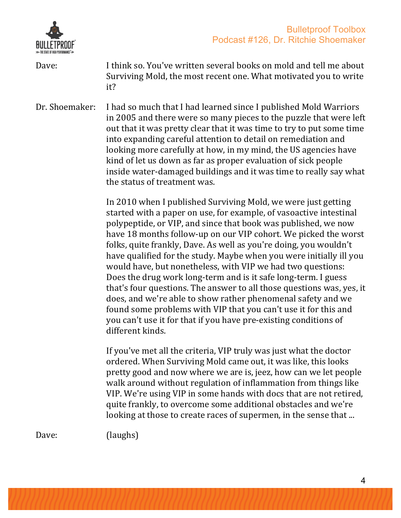

Dave: I think so. You've written several books on mold and tell me about Surviving Mold, the most recent one. What motivated you to write it?

Dr. Shoemaker: I had so much that I had learned since I published Mold Warriors in 2005 and there were so many pieces to the puzzle that were left out that it was pretty clear that it was time to try to put some time into expanding careful attention to detail on remediation and looking more carefully at how, in my mind, the US agencies have kind of let us down as far as proper evaluation of sick people inside water-damaged buildings and it was time to really say what the status of treatment was.

> In 2010 when I published Surviving Mold, we were just getting started with a paper on use, for example, of vasoactive intestinal polypeptide, or VIP, and since that book was published, we now have 18 months follow-up on our VIP cohort. We picked the worst folks, quite frankly, Dave. As well as you're doing, you wouldn't have qualified for the study. Maybe when you were initially ill you would have, but nonetheless, with VIP we had two questions: Does the drug work long-term and is it safe long-term. I guess that's four questions. The answer to all those questions was, yes, it does, and we're able to show rather phenomenal safety and we found some problems with VIP that you can't use it for this and you can't use it for that if you have pre-existing conditions of different kinds.

If you've met all the criteria, VIP truly was just what the doctor ordered. When Surviving Mold came out, it was like, this looks pretty good and now where we are is, jeez, how can we let people walk around without regulation of inflammation from things like VIP. We're using VIP in some hands with docs that are not retired, quite frankly, to overcome some additional obstacles and we're looking at those to create races of supermen, in the sense that ...

Dave: (laughs)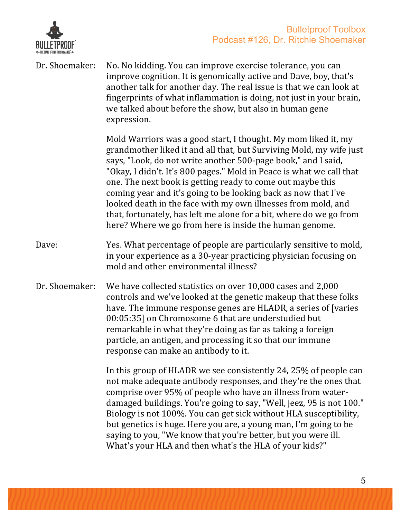

| Dr. Shoemaker: | No. No kidding. You can improve exercise tolerance, you can<br>improve cognition. It is genomically active and Dave, boy, that's<br>another talk for another day. The real issue is that we can look at<br>fingerprints of what inflammation is doing, not just in your brain,<br>we talked about before the show, but also in human gene<br>expression.                                                                                                                                                                                                                                                          |
|----------------|-------------------------------------------------------------------------------------------------------------------------------------------------------------------------------------------------------------------------------------------------------------------------------------------------------------------------------------------------------------------------------------------------------------------------------------------------------------------------------------------------------------------------------------------------------------------------------------------------------------------|
|                | Mold Warriors was a good start, I thought. My mom liked it, my<br>grandmother liked it and all that, but Surviving Mold, my wife just<br>says, "Look, do not write another 500-page book," and I said,<br>"Okay, I didn't. It's 800 pages." Mold in Peace is what we call that<br>one. The next book is getting ready to come out maybe this<br>coming year and it's going to be looking back as now that I've<br>looked death in the face with my own illnesses from mold, and<br>that, fortunately, has left me alone for a bit, where do we go from<br>here? Where we go from here is inside the human genome. |
| Dave:          | Yes. What percentage of people are particularly sensitive to mold,<br>in your experience as a 30-year practicing physician focusing on<br>mold and other environmental illness?                                                                                                                                                                                                                                                                                                                                                                                                                                   |
| Dr. Shoemaker: | We have collected statistics on over 10,000 cases and 2,000<br>controls and we've looked at the genetic makeup that these folks<br>have. The immune response genes are HLADR, a series of [varies]<br>00:05:35] on Chromosome 6 that are understudied but<br>remarkable in what they're doing as far as taking a foreign<br>particle, an antigen, and processing it so that our immune<br>response can make an antibody to it.                                                                                                                                                                                    |
|                | In this group of HLADR we see consistently 24, 25% of people can<br>not make adequate antibody responses, and they're the ones that<br>comprise over 95% of people who have an illness from water-<br>damaged buildings. You're going to say, "Well, jeez, 95 is not 100."<br>Biology is not 100%. You can get sick without HLA susceptibility,<br>but genetics is huge. Here you are, a young man, I'm going to be<br>saying to you, "We know that you're better, but you were ill.<br>What's your HLA and then what's the HLA of your kids?"                                                                    |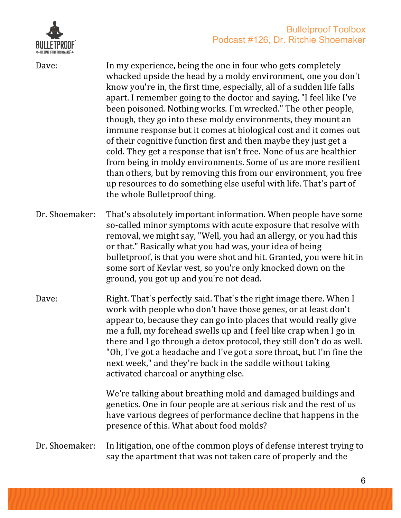

Dave: In my experience, being the one in four who gets completely whacked upside the head by a moldy environment, one you don't know you're in, the first time, especially, all of a sudden life falls apart. I remember going to the doctor and saying, "I feel like I've been poisoned. Nothing works. I'm wrecked." The other people, though, they go into these moldy environments, they mount an immune response but it comes at biological cost and it comes out of their cognitive function first and then maybe they just get a cold. They get a response that isn't free. None of us are healthier from being in moldy environments. Some of us are more resilient than others, but by removing this from our environment, you free up resources to do something else useful with life. That's part of the whole Bulletproof thing.

- Dr. Shoemaker: That's absolutely important information. When people have some so-called minor symptoms with acute exposure that resolve with removal, we might say, "Well, you had an allergy, or you had this or that." Basically what you had was, your idea of being bulletproof, is that you were shot and hit. Granted, you were hit in some sort of Kevlar vest, so you're only knocked down on the ground, you got up and you're not dead.
- Dave: Right. That's perfectly said. That's the right image there. When I work with people who don't have those genes, or at least don't appear to, because they can go into places that would really give me a full, my forehead swells up and I feel like crap when I go in there and I go through a detox protocol, they still don't do as well. "Oh, I've got a headache and I've got a sore throat, but I'm fine the next week," and they're back in the saddle without taking activated charcoal or anything else.

We're talking about breathing mold and damaged buildings and genetics. One in four people are at serious risk and the rest of us have various degrees of performance decline that happens in the presence of this. What about food molds?

#### Dr. Shoemaker: In litigation, one of the common ploys of defense interest trying to say the apartment that was not taken care of properly and the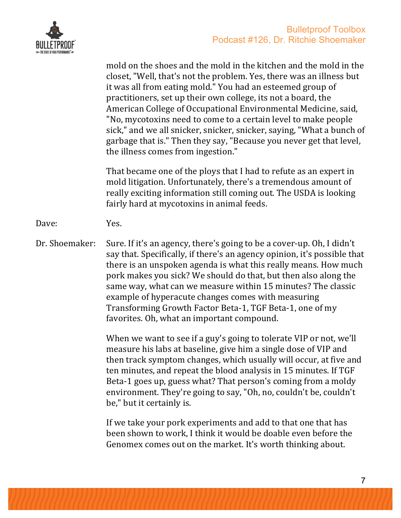

|                | mold on the shoes and the mold in the kitchen and the mold in the<br>closet, "Well, that's not the problem. Yes, there was an illness but<br>it was all from eating mold." You had an esteemed group of<br>practitioners, set up their own college, its not a board, the<br>American College of Occupational Environmental Medicine, said,<br>"No, mycotoxins need to come to a certain level to make people<br>sick," and we all snicker, snicker, snicker, saying, "What a bunch of<br>garbage that is." Then they say, "Because you never get that level,<br>the illness comes from ingestion." |
|----------------|----------------------------------------------------------------------------------------------------------------------------------------------------------------------------------------------------------------------------------------------------------------------------------------------------------------------------------------------------------------------------------------------------------------------------------------------------------------------------------------------------------------------------------------------------------------------------------------------------|
|                | That became one of the ploys that I had to refute as an expert in<br>mold litigation. Unfortunately, there's a tremendous amount of<br>really exciting information still coming out. The USDA is looking<br>fairly hard at mycotoxins in animal feeds.                                                                                                                                                                                                                                                                                                                                             |
| Dave:          | Yes.                                                                                                                                                                                                                                                                                                                                                                                                                                                                                                                                                                                               |
| Dr. Shoemaker: | Sure. If it's an agency, there's going to be a cover-up. Oh, I didn't<br>say that. Specifically, if there's an agency opinion, it's possible that<br>there is an unspoken agenda is what this really means. How much<br>pork makes you sick? We should do that, but then also along the<br>same way, what can we measure within 15 minutes? The classic<br>example of hyperacute changes comes with measuring<br>Transforming Growth Factor Beta-1, TGF Beta-1, one of my<br>favorites. Oh, what an important compound.                                                                            |
|                | When we want to see if a guy's going to tolerate VIP or not, we'll<br>measure his labs at baseline, give him a single dose of VIP and<br>then track symptom changes, which usually will occur, at five and<br>ten minutes, and repeat the blood analysis in 15 minutes. If TGF<br>Beta-1 goes up, guess what? That person's coming from a moldy<br>environment. They're going to say, "Oh, no, couldn't be, couldn't<br>be," but it certainly is.                                                                                                                                                  |
|                | If we take your pork experiments and add to that one that has<br>been shown to work, I think it would be doable even before the                                                                                                                                                                                                                                                                                                                                                                                                                                                                    |

Genomex comes out on the market. It's worth thinking about.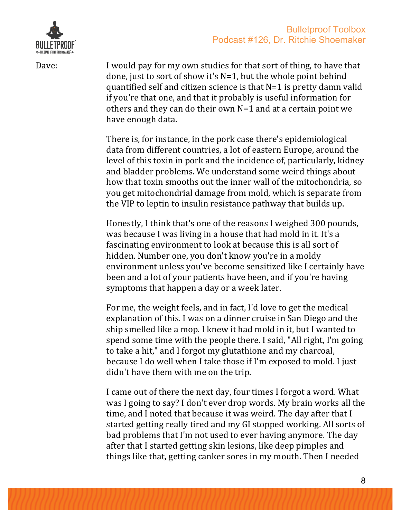



Dave: I would pay for my own studies for that sort of thing, to have that done, just to sort of show it's  $N=1$ , but the whole point behind quantified self and citizen science is that  $N=1$  is pretty damn valid if you're that one, and that it probably is useful information for others and they can do their own  $N=1$  and at a certain point we have enough data.

> There is, for instance, in the pork case there's epidemiological data from different countries, a lot of eastern Europe, around the level of this toxin in pork and the incidence of, particularly, kidney and bladder problems. We understand some weird things about how that toxin smooths out the inner wall of the mitochondria, so you get mitochondrial damage from mold, which is separate from the VIP to leptin to insulin resistance pathway that builds up.

> Honestly, I think that's one of the reasons I weighed 300 pounds, was because I was living in a house that had mold in it. It's a fascinating environment to look at because this is all sort of hidden. Number one, you don't know you're in a moldy environment unless you've become sensitized like I certainly have been and a lot of your patients have been, and if you're having symptoms that happen a day or a week later.

> For me, the weight feels, and in fact, I'd love to get the medical explanation of this. I was on a dinner cruise in San Diego and the ship smelled like a mop. I knew it had mold in it, but I wanted to spend some time with the people there. I said, "All right, I'm going to take a hit," and I forgot my glutathione and my charcoal, because I do well when I take those if I'm exposed to mold. I just didn't have them with me on the trip.

> I came out of there the next day, four times I forgot a word. What was I going to say? I don't ever drop words. My brain works all the time, and I noted that because it was weird. The day after that I started getting really tired and my GI stopped working. All sorts of bad problems that I'm not used to ever having anymore. The day after that I started getting skin lesions, like deep pimples and things like that, getting canker sores in my mouth. Then I needed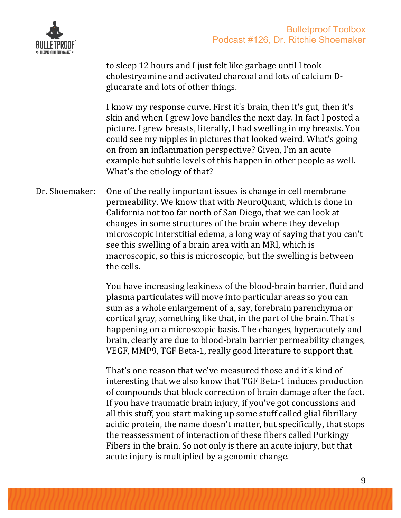



to sleep 12 hours and I just felt like garbage until I took cholestryamine and activated charcoal and lots of calcium Dglucarate and lots of other things.

I know my response curve. First it's brain, then it's gut, then it's skin and when I grew love handles the next day. In fact I posted a picture. I grew breasts, literally, I had swelling in my breasts. You could see my nipples in pictures that looked weird. What's going on from an inflammation perspective? Given, I'm an acute example but subtle levels of this happen in other people as well. What's the etiology of that?

Dr. Shoemaker: One of the really important issues is change in cell membrane permeability. We know that with NeuroQuant, which is done in California not too far north of San Diego, that we can look at changes in some structures of the brain where they develop microscopic interstitial edema, a long way of saying that you can't see this swelling of a brain area with an MRI, which is macroscopic, so this is microscopic, but the swelling is between the cells.

> You have increasing leakiness of the blood-brain barrier, fluid and plasma particulates will move into particular areas so you can sum as a whole enlargement of a, say, forebrain parenchyma or cortical gray, something like that, in the part of the brain. That's happening on a microscopic basis. The changes, hyperacutely and brain, clearly are due to blood-brain barrier permeability changes, VEGF, MMP9, TGF Beta-1, really good literature to support that.

> That's one reason that we've measured those and it's kind of interesting that we also know that TGF Beta-1 induces production of compounds that block correction of brain damage after the fact. If you have traumatic brain injury, if you've got concussions and all this stuff, you start making up some stuff called glial fibrillary acidic protein, the name doesn't matter, but specifically, that stops the reassessment of interaction of these fibers called Purkingy Fibers in the brain. So not only is there an acute injury, but that acute injury is multiplied by a genomic change.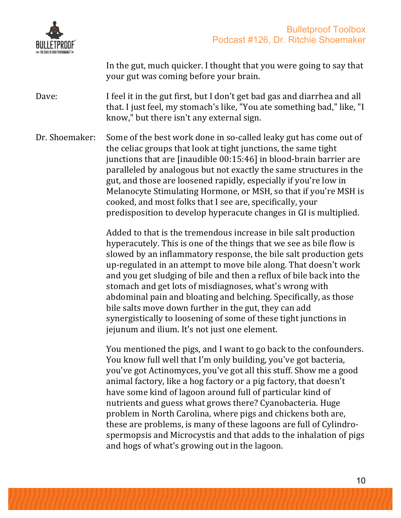

In the gut, much quicker. I thought that you were going to say that your gut was coming before your brain.

Dave: I feel it in the gut first, but I don't get bad gas and diarrhea and all that. I just feel, my stomach's like, "You ate something bad," like, "I know," but there isn't any external sign.

Dr. Shoemaker: Some of the best work done in so-called leaky gut has come out of the celiac groups that look at tight junctions, the same tight junctions that are  $[$ inaudible  $00:15:46]$  in blood-brain barrier are paralleled by analogous but not exactly the same structures in the gut, and those are loosened rapidly, especially if you're low in Melanocyte Stimulating Hormone, or MSH, so that if you're MSH is cooked, and most folks that I see are, specifically, your predisposition to develop hyperacute changes in GI is multiplied.

> Added to that is the tremendous increase in bile salt production hyperacutely. This is one of the things that we see as bile flow is slowed by an inflammatory response, the bile salt production gets up-regulated in an attempt to move bile along. That doesn't work and you get sludging of bile and then a reflux of bile back into the stomach and get lots of misdiagnoses, what's wrong with abdominal pain and bloating and belching. Specifically, as those bile salts move down further in the gut, they can add synergistically to loosening of some of these tight junctions in jejunum and ilium. It's not just one element.

> You mentioned the pigs, and I want to go back to the confounders. You know full well that I'm only building, you've got bacteria, you've got Actinomyces, you've got all this stuff. Show me a good animal factory, like a hog factory or a pig factory, that doesn't have some kind of lagoon around full of particular kind of nutrients and guess what grows there? Cyanobacteria. Huge problem in North Carolina, where pigs and chickens both are, these are problems, is many of these lagoons are full of Cylindrospermopsis and Microcystis and that adds to the inhalation of pigs and hogs of what's growing out in the lagoon.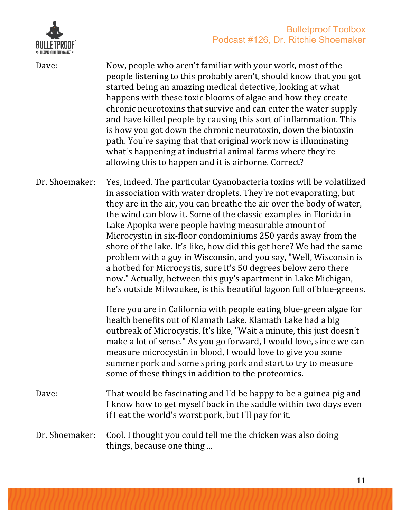

| HULLETPROOF              |
|--------------------------|
| <b>ITE OF HIGH PFRFN</b> |

| Dave:          | Now, people who aren't familiar with your work, most of the<br>people listening to this probably aren't, should know that you got<br>started being an amazing medical detective, looking at what<br>happens with these toxic blooms of algae and how they create<br>chronic neurotoxins that survive and can enter the water supply<br>and have killed people by causing this sort of inflammation. This<br>is how you got down the chronic neurotoxin, down the biotoxin<br>path. You're saying that that original work now is illuminating<br>what's happening at industrial animal farms where they're<br>allowing this to happen and it is airborne. Correct?                                                                                                       |
|----------------|-------------------------------------------------------------------------------------------------------------------------------------------------------------------------------------------------------------------------------------------------------------------------------------------------------------------------------------------------------------------------------------------------------------------------------------------------------------------------------------------------------------------------------------------------------------------------------------------------------------------------------------------------------------------------------------------------------------------------------------------------------------------------|
| Dr. Shoemaker: | Yes, indeed. The particular Cyanobacteria toxins will be volatilized<br>in association with water droplets. They're not evaporating, but<br>they are in the air, you can breathe the air over the body of water,<br>the wind can blow it. Some of the classic examples in Florida in<br>Lake Apopka were people having measurable amount of<br>Microcystin in six-floor condominiums 250 yards away from the<br>shore of the lake. It's like, how did this get here? We had the same<br>problem with a guy in Wisconsin, and you say, "Well, Wisconsin is<br>a hotbed for Microcystis, sure it's 50 degrees below zero there<br>now." Actually, between this guy's apartment in Lake Michigan,<br>he's outside Milwaukee, is this beautiful lagoon full of blue-greens. |
|                | Here you are in California with people eating blue-green algae for<br>health benefits out of Klamath Lake. Klamath Lake had a big<br>outbreak of Microcystis. It's like, "Wait a minute, this just doesn't<br>make a lot of sense." As you go forward, I would love, since we can<br>measure microcystin in blood, I would love to give you some<br>summer pork and some spring pork and start to try to measure<br>some of these things in addition to the proteomics.                                                                                                                                                                                                                                                                                                 |
| Dave:          | That would be fascinating and I'd be happy to be a guinea pig and<br>I know how to get myself back in the saddle within two days even<br>if I eat the world's worst pork, but I'll pay for it.                                                                                                                                                                                                                                                                                                                                                                                                                                                                                                                                                                          |
| Dr. Shoemaker: | Cool. I thought you could tell me the chicken was also doing<br>things, because one thing                                                                                                                                                                                                                                                                                                                                                                                                                                                                                                                                                                                                                                                                               |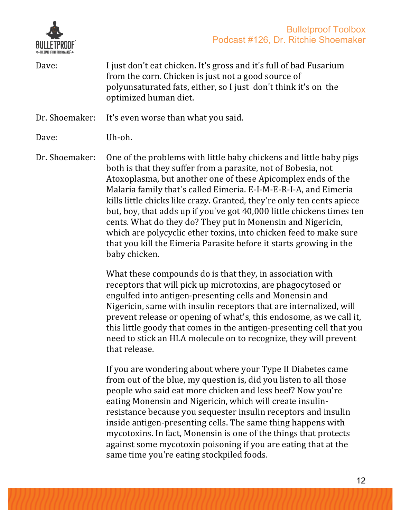



Dave: I just don't eat chicken. It's gross and it's full of bad Fusarium from the corn. Chicken is just not a good source of polyunsaturated fats, either, so I just don't think it's on the optimized human diet.

Dr. Shoemaker: It's even worse than what you said.

Dave: Uh-oh.

Dr. Shoemaker: One of the problems with little baby chickens and little baby pigs both is that they suffer from a parasite, not of Bobesia, not Atoxoplasma, but another one of these Apicomplex ends of the Malaria family that's called Eimeria. E-I-M-E-R-I-A, and Eimeria kills little chicks like crazy. Granted, they're only ten cents apiece but, boy, that adds up if you've got 40,000 little chickens times ten cents. What do they do? They put in Monensin and Nigericin, which are polycyclic ether toxins, into chicken feed to make sure that you kill the Eimeria Parasite before it starts growing in the baby chicken.

> What these compounds do is that they, in association with receptors that will pick up microtoxins, are phagocytosed or engulfed into antigen-presenting cells and Monensin and Nigericin, same with insulin receptors that are internalized, will prevent release or opening of what's, this endosome, as we call it, this little goody that comes in the antigen-presenting cell that you need to stick an HLA molecule on to recognize, they will prevent that release.

If you are wondering about where your Type II Diabetes came from out of the blue, my question is, did you listen to all those people who said eat more chicken and less beef? Now you're eating Monensin and Nigericin, which will create insulinresistance because you sequester insulin receptors and insulin inside antigen-presenting cells. The same thing happens with mycotoxins. In fact, Monensin is one of the things that protects against some mycotoxin poisoning if you are eating that at the same time you're eating stockpiled foods.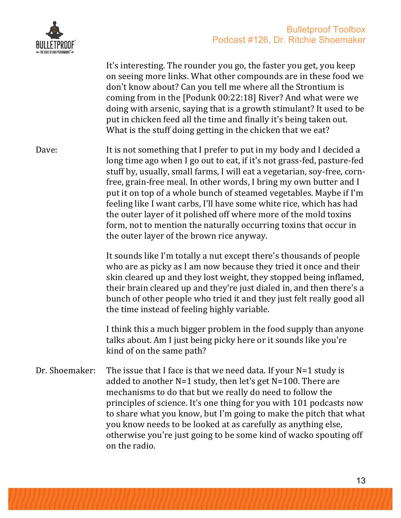

It's interesting. The rounder you go, the faster you get, you keep on seeing more links. What other compounds are in these food we don't know about? Can you tell me where all the Strontium is coming from in the  $[$ Podunk 00:22:18] River? And what were we doing with arsenic, saying that is a growth stimulant? It used to be put in chicken feed all the time and finally it's being taken out. What is the stuff doing getting in the chicken that we eat? Dave: It is not something that I prefer to put in my body and I decided a long time ago when I go out to eat, if it's not grass-fed, pasture-fed stuff by, usually, small farms, I will eat a vegetarian, soy-free, cornfree, grain-free meal. In other words, I bring my own butter and I put it on top of a whole bunch of steamed vegetables. Maybe if I'm feeling like I want carbs, I'll have some white rice, which has had the outer layer of it polished off where more of the mold toxins form, not to mention the naturally occurring toxins that occur in the outer layer of the brown rice anyway. It sounds like I'm totally a nut except there's thousands of people who are as picky as I am now because they tried it once and their skin cleared up and they lost weight, they stopped being inflamed, their brain cleared up and they're just dialed in, and then there's a bunch of other people who tried it and they just felt really good all the time instead of feeling highly variable. I think this a much bigger problem in the food supply than anyone talks about. Am I just being picky here or it sounds like you're kind of on the same path? Dr. Shoemaker: The issue that I face is that we need data. If your  $N=1$  study is added to another  $N=1$  study, then let's get  $N=100$ . There are mechanisms to do that but we really do need to follow the principles of science. It's one thing for you with 101 podcasts now to share what you know, but I'm going to make the pitch that what you know needs to be looked at as carefully as anything else, otherwise you're just going to be some kind of wacko spouting off on the radio.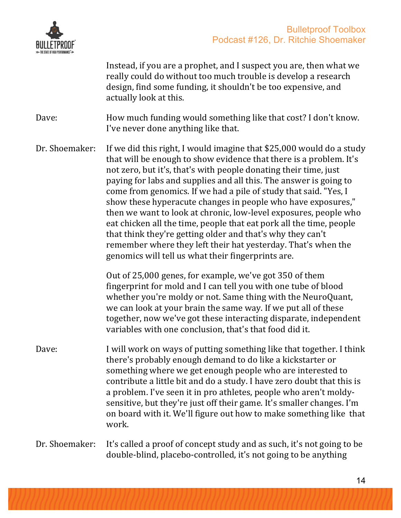

Instead, if you are a prophet, and I suspect you are, then what we really could do without too much trouble is develop a research design, find some funding, it shouldn't be too expensive, and actually look at this.

Dave: How much funding would something like that cost? I don't know. I've never done anything like that.

Dr. Shoemaker: If we did this right, I would imagine that \$25,000 would do a study that will be enough to show evidence that there is a problem. It's not zero, but it's, that's with people donating their time, just paying for labs and supplies and all this. The answer is going to come from genomics. If we had a pile of study that said. "Yes, I show these hyperacute changes in people who have exposures," then we want to look at chronic, low-level exposures, people who eat chicken all the time, people that eat pork all the time, people that think they're getting older and that's why they can't remember where they left their hat vesterday. That's when the genomics will tell us what their fingerprints are.

> Out of 25,000 genes, for example, we've got 350 of them fingerprint for mold and I can tell you with one tube of blood whether you're moldy or not. Same thing with the NeuroQuant, we can look at your brain the same way. If we put all of these together, now we've got these interacting disparate, independent variables with one conclusion, that's that food did it.

Dave: I will work on ways of putting something like that together. I think there's probably enough demand to do like a kickstarter or something where we get enough people who are interested to contribute a little bit and do a study. I have zero doubt that this is a problem. I've seen it in pro athletes, people who aren't moldysensitive, but they're just off their game. It's smaller changes. I'm on board with it. We'll figure out how to make something like that work.

### Dr. Shoemaker: It's called a proof of concept study and as such, it's not going to be double-blind, placebo-controlled, it's not going to be anything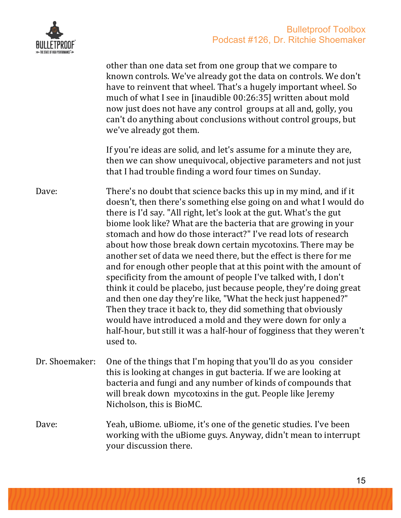

|                | other than one data set from one group that we compare to<br>known controls. We've already got the data on controls. We don't<br>have to reinvent that wheel. That's a hugely important wheel. So<br>much of what I see in [inaudible 00:26:35] written about mold<br>now just does not have any control groups at all and, golly, you<br>can't do anything about conclusions without control groups, but<br>we've already got them.                                                                                                                                                                                                                                                                                                                                                                                                                                                                                                                                                        |
|----------------|---------------------------------------------------------------------------------------------------------------------------------------------------------------------------------------------------------------------------------------------------------------------------------------------------------------------------------------------------------------------------------------------------------------------------------------------------------------------------------------------------------------------------------------------------------------------------------------------------------------------------------------------------------------------------------------------------------------------------------------------------------------------------------------------------------------------------------------------------------------------------------------------------------------------------------------------------------------------------------------------|
|                | If you're ideas are solid, and let's assume for a minute they are,<br>then we can show unequivocal, objective parameters and not just<br>that I had trouble finding a word four times on Sunday.                                                                                                                                                                                                                                                                                                                                                                                                                                                                                                                                                                                                                                                                                                                                                                                            |
| Dave:          | There's no doubt that science backs this up in my mind, and if it<br>doesn't, then there's something else going on and what I would do<br>there is I'd say. "All right, let's look at the gut. What's the gut<br>biome look like? What are the bacteria that are growing in your<br>stomach and how do those interact?" I've read lots of research<br>about how those break down certain mycotoxins. There may be<br>another set of data we need there, but the effect is there for me<br>and for enough other people that at this point with the amount of<br>specificity from the amount of people I've talked with, I don't<br>think it could be placebo, just because people, they're doing great<br>and then one day they're like, "What the heck just happened?"<br>Then they trace it back to, they did something that obviously<br>would have introduced a mold and they were down for only a<br>half-hour, but still it was a half-hour of fogginess that they weren't<br>used to. |
| Dr. Shoemaker: | One of the things that I'm hoping that you'll do as you consider<br>this is looking at changes in gut bacteria. If we are looking at<br>bacteria and fungi and any number of kinds of compounds that<br>will break down mycotoxins in the gut. People like Jeremy<br>Nicholson, this is BioMC.                                                                                                                                                                                                                                                                                                                                                                                                                                                                                                                                                                                                                                                                                              |
| Dave:          | Yeah, uBiome. uBiome, it's one of the genetic studies. I've been<br>working with the uBiome guys. Anyway, didn't mean to interrupt<br>your discussion there.                                                                                                                                                                                                                                                                                                                                                                                                                                                                                                                                                                                                                                                                                                                                                                                                                                |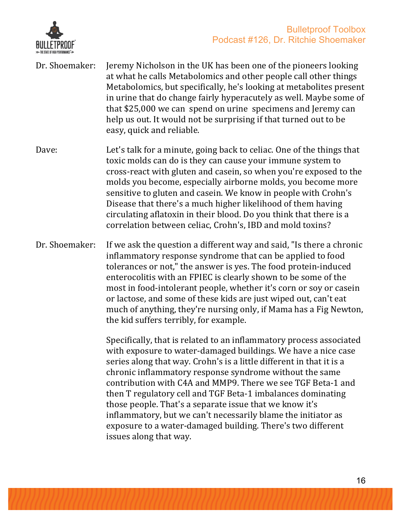

- Dr. Shoemaker: Jeremy Nicholson in the UK has been one of the pioneers looking at what he calls Metabolomics and other people call other things Metabolomics, but specifically, he's looking at metabolites present in urine that do change fairly hyperacutely as well. Maybe some of that \$25,000 we can spend on urine specimens and Jeremy can help us out. It would not be surprising if that turned out to be easy, quick and reliable.
- Dave: Let's talk for a minute, going back to celiac. One of the things that toxic molds can do is they can cause your immune system to cross-react with gluten and casein, so when you're exposed to the molds you become, especially airborne molds, you become more sensitive to gluten and casein. We know in people with Crohn's Disease that there's a much higher likelihood of them having circulating aflatoxin in their blood. Do you think that there is a correlation between celiac, Crohn's, IBD and mold toxins?
- Dr. Shoemaker: If we ask the question a different way and said, "Is there a chronic inflammatory response syndrome that can be applied to food tolerances or not," the answer is yes. The food protein-induced enterocolitis with an FPIEC is clearly shown to be some of the most in food-intolerant people, whether it's corn or soy or casein or lactose, and some of these kids are just wiped out, can't eat much of anything, they're nursing only, if Mama has a Fig Newton, the kid suffers terribly, for example.

Specifically, that is related to an inflammatory process associated with exposure to water-damaged buildings. We have a nice case series along that way. Crohn's is a little different in that it is a chronic inflammatory response syndrome without the same contribution with C4A and MMP9. There we see TGF Beta-1 and then T regulatory cell and TGF Beta-1 imbalances dominating those people. That's a separate issue that we know it's inflammatory, but we can't necessarily blame the initiator as exposure to a water-damaged building. There's two different issues along that way.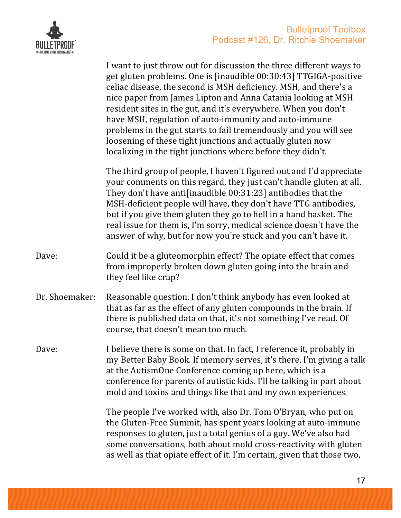

|                | I want to just throw out for discussion the three different ways to<br>get gluten problems. One is [inaudible 00:30:43] TTGIGA-positive<br>celiac disease, the second is MSH deficiency. MSH, and there's a<br>nice paper from James Lipton and Anna Catania looking at MSH<br>resident sites in the gut, and it's everywhere. When you don't<br>have MSH, regulation of auto-immunity and auto-immune<br>problems in the gut starts to fail tremendously and you will see<br>loosening of these tight junctions and actually gluten now<br>localizing in the tight junctions where before they didn't. |
|----------------|---------------------------------------------------------------------------------------------------------------------------------------------------------------------------------------------------------------------------------------------------------------------------------------------------------------------------------------------------------------------------------------------------------------------------------------------------------------------------------------------------------------------------------------------------------------------------------------------------------|
|                | The third group of people, I haven't figured out and I'd appreciate<br>your comments on this regard, they just can't handle gluten at all.<br>They don't have anti[inaudible 00:31:23] antibodies that the<br>MSH-deficient people will have, they don't have TTG antibodies,<br>but if you give them gluten they go to hell in a hand basket. The<br>real issue for them is, I'm sorry, medical science doesn't have the<br>answer of why, but for now you're stuck and you can't have it.                                                                                                             |
| Dave:          | Could it be a gluteomorphin effect? The opiate effect that comes<br>from improperly broken down gluten going into the brain and<br>they feel like crap?                                                                                                                                                                                                                                                                                                                                                                                                                                                 |
| Dr. Shoemaker: | Reasonable question. I don't think anybody has even looked at<br>that as far as the effect of any gluten compounds in the brain. If<br>there is published data on that, it's not something I've read. Of<br>course, that doesn't mean too much.                                                                                                                                                                                                                                                                                                                                                         |
| Dave:          | I believe there is some on that. In fact, I reference it, probably in<br>my Better Baby Book. If memory serves, it's there. I'm giving a talk<br>at the AutismOne Conference coming up here, which is a<br>conference for parents of autistic kids. I'll be talking in part about<br>mold and toxins and things like that and my own experiences.                                                                                                                                                                                                                                                       |
|                | The people I've worked with, also Dr. Tom O'Bryan, who put on<br>the Gluten-Free Summit, has spent years looking at auto-immune<br>responses to gluten, just a total genius of a guy. We've also had<br>some conversations, both about mold cross-reactivity with gluten<br>as well as that opiate effect of it. I'm certain, given that those two,                                                                                                                                                                                                                                                     |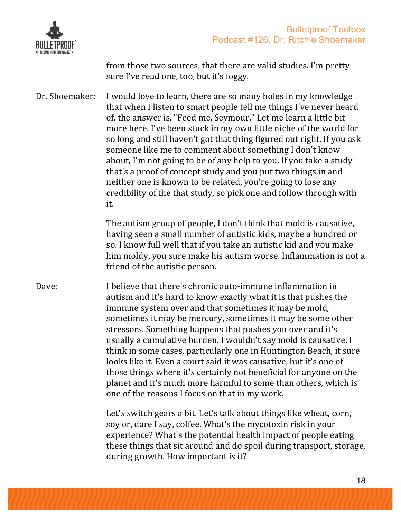

from those two sources, that there are valid studies. I'm pretty sure I've read one, too, but it's foggy.

Dr. Shoemaker: I would love to learn, there are so many holes in my knowledge that when I listen to smart people tell me things I've never heard of, the answer is, "Feed me, Seymour." Let me learn a little bit more here. I've been stuck in my own little niche of the world for so long and still haven't got that thing figured out right. If you ask someone like me to comment about something I don't know about, I'm not going to be of any help to you. If you take a study that's a proof of concept study and you put two things in and neither one is known to be related, you're going to lose any credibility of the that study, so pick one and follow through with it.

> The autism group of people, I don't think that mold is causative, having seen a small number of autistic kids, maybe a hundred or so. I know full well that if you take an autistic kid and you make him moldy, you sure make his autism worse. Inflammation is not a friend of the autistic person.

Dave: I believe that there's chronic auto-immune inflammation in autism and it's hard to know exactly what it is that pushes the immune system over and that sometimes it may be mold, sometimes it may be mercury, sometimes it may be some other stressors. Something happens that pushes you over and it's usually a cumulative burden. I wouldn't say mold is causative. I think in some cases, particularly one in Huntington Beach, it sure looks like it. Even a court said it was causative, but it's one of those things where it's certainly not beneficial for anyone on the planet and it's much more harmful to some than others, which is one of the reasons I focus on that in my work.

> Let's switch gears a bit. Let's talk about things like wheat, corn, soy or, dare I say, coffee. What's the mycotoxin risk in your experience? What's the potential health impact of people eating these things that sit around and do spoil during transport, storage, during growth. How important is it?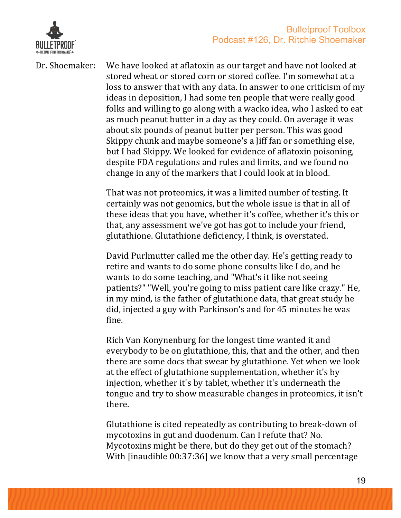

Dr. Shoemaker: We have looked at aflatoxin as our target and have not looked at stored wheat or stored corn or stored coffee. I'm somewhat at a loss to answer that with any data. In answer to one criticism of my ideas in deposition, I had some ten people that were really good folks and willing to go along with a wacko idea, who I asked to eat as much peanut butter in a day as they could. On average it was about six pounds of peanut butter per person. This was good Skippy chunk and maybe someone's a liff fan or something else, but I had Skippy. We looked for evidence of aflatoxin poisoning, despite FDA regulations and rules and limits, and we found no change in any of the markers that I could look at in blood.

> That was not proteomics, it was a limited number of testing. It certainly was not genomics, but the whole issue is that in all of these ideas that you have, whether it's coffee, whether it's this or that, any assessment we've got has got to include your friend, glutathione. Glutathione deficiency, I think, is overstated.

> David Purlmutter called me the other day. He's getting ready to retire and wants to do some phone consults like I do, and he wants to do some teaching, and "What's it like not seeing patients?" "Well, you're going to miss patient care like crazy." He, in my mind, is the father of glutathione data, that great study he did, injected a guy with Parkinson's and for 45 minutes he was fine.

Rich Van Konynenburg for the longest time wanted it and everybody to be on glutathione, this, that and the other, and then there are some docs that swear by glutathione. Yet when we look at the effect of glutathione supplementation, whether it's by injection, whether it's by tablet, whether it's underneath the tongue and try to show measurable changes in proteomics, it isn't there.

Glutathione is cited repeatedly as contributing to break-down of mycotoxins in gut and duodenum. Can I refute that? No. Mycotoxins might be there, but do they get out of the stomach? With  $\lceil$  [inaudible 00:37:36] we know that a very small percentage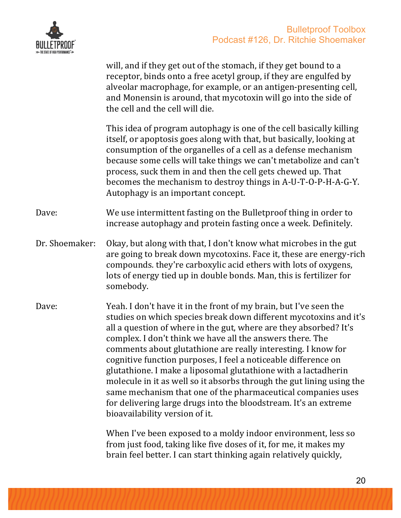

will, and if they get out of the stomach, if they get bound to a receptor, binds onto a free acetyl group, if they are engulfed by alveolar macrophage, for example, or an antigen-presenting cell, and Monensin is around, that mycotoxin will go into the side of the cell and the cell will die. This idea of program autophagy is one of the cell basically killing itself, or apoptosis goes along with that, but basically, looking at consumption of the organelles of a cell as a defense mechanism because some cells will take things we can't metabolize and can't process, suck them in and then the cell gets chewed up. That becomes the mechanism to destroy things in A-U-T-O-P-H-A-G-Y. Autophagy is an important concept. Dave: We use intermittent fasting on the Bulletproof thing in order to increase autophagy and protein fasting once a week. Definitely. Dr. Shoemaker: Okay, but along with that, I don't know what microbes in the gut are going to break down mycotoxins. Face it, these are energy-rich compounds, they're carboxylic acid ethers with lots of oxygens, lots of energy tied up in double bonds. Man, this is fertilizer for somebody. Dave: Yeah. I don't have it in the front of my brain, but I've seen the studies on which species break down different mycotoxins and it's all a question of where in the gut, where are they absorbed? It's complex. I don't think we have all the answers there. The comments about glutathione are really interesting. I know for cognitive function purposes, I feel a noticeable difference on glutathione. I make a liposomal glutathione with a lactadherin molecule in it as well so it absorbs through the gut lining using the same mechanism that one of the pharmaceutical companies uses for delivering large drugs into the bloodstream. It's an extreme bioavailability version of it.

> When I've been exposed to a moldy indoor environment, less so from just food, taking like five doses of it, for me, it makes my brain feel better. I can start thinking again relatively quickly,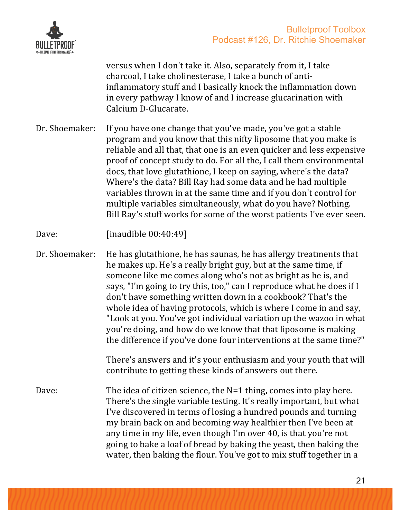

versus when I don't take it. Also, separately from it, I take charcoal, I take cholinesterase, I take a bunch of antiinflammatory stuff and I basically knock the inflammation down in every pathway I know of and I increase glucarination with Calcium D-Glucarate.

- Dr. Shoemaker: If you have one change that you've made, you've got a stable program and you know that this nifty liposome that you make is reliable and all that, that one is an even quicker and less expensive proof of concept study to do. For all the, I call them environmental docs, that love glutathione, I keep on saying, where's the data? Where's the data? Bill Ray had some data and he had multiple variables thrown in at the same time and if you don't control for multiple variables simultaneously, what do you have? Nothing. Bill Ray's stuff works for some of the worst patients I've ever seen.
- Dave: [inaudible 00:40:49]

Dr. Shoemaker: He has glutathione, he has saunas, he has allergy treatments that he makes up. He's a really bright guy, but at the same time, if someone like me comes along who's not as bright as he is, and says, "I'm going to try this, too," can I reproduce what he does if I don't have something written down in a cookbook? That's the whole idea of having protocols, which is where I come in and say, "Look at you. You've got individual variation up the wazoo in what you're doing, and how do we know that that liposome is making the difference if you've done four interventions at the same time?"

> There's answers and it's your enthusiasm and your youth that will contribute to getting these kinds of answers out there.

Dave: The idea of citizen science, the  $N=1$  thing, comes into play here. There's the single variable testing. It's really important, but what I've discovered in terms of losing a hundred pounds and turning my brain back on and becoming way healthier then I've been at any time in my life, even though I'm over 40, is that you're not going to bake a loaf of bread by baking the yeast, then baking the water, then baking the flour. You've got to mix stuff together in a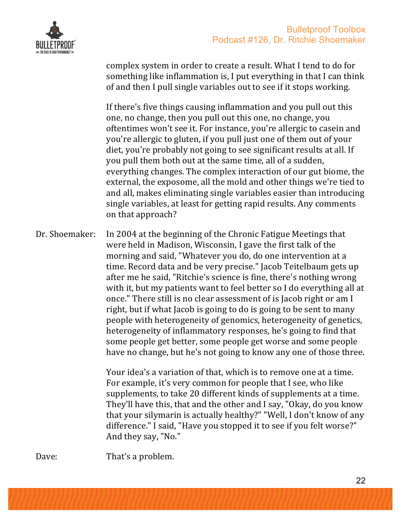

complex system in order to create a result. What I tend to do for something like inflammation is, I put everything in that I can think of and then I pull single variables out to see if it stops working.

If there's five things causing inflammation and you pull out this one, no change, then you pull out this one, no change, you oftentimes won't see it. For instance, you're allergic to casein and you're allergic to gluten, if you pull just one of them out of your diet, you're probably not going to see significant results at all. If you pull them both out at the same time, all of a sudden, everything changes. The complex interaction of our gut biome, the external, the exposome, all the mold and other things we're tied to and all, makes eliminating single variables easier than introducing single variables, at least for getting rapid results. Any comments on that approach?

Dr. Shoemaker: In 2004 at the beginning of the Chronic Fatigue Meetings that were held in Madison, Wisconsin, I gave the first talk of the morning and said, "Whatever you do, do one intervention at a time. Record data and be very precise." Jacob Teitelbaum gets up after me he said, "Ritchie's science is fine, there's nothing wrong with it, but my patients want to feel better so I do everything all at once." There still is no clear assessment of is Jacob right or am I right, but if what Jacob is going to do is going to be sent to many people with heterogeneity of genomics, heterogeneity of genetics, heterogeneity of inflammatory responses, he's going to find that some people get better, some people get worse and some people have no change, but he's not going to know any one of those three.

> Your idea's a variation of that, which is to remove one at a time. For example, it's very common for people that I see, who like supplements, to take 20 different kinds of supplements at a time. They'll have this, that and the other and I say, "Okay, do you know that your silymarin is actually healthy?" "Well, I don't know of any difference." I said, "Have you stopped it to see if you felt worse?" And they say, "No."

Dave: That's a problem.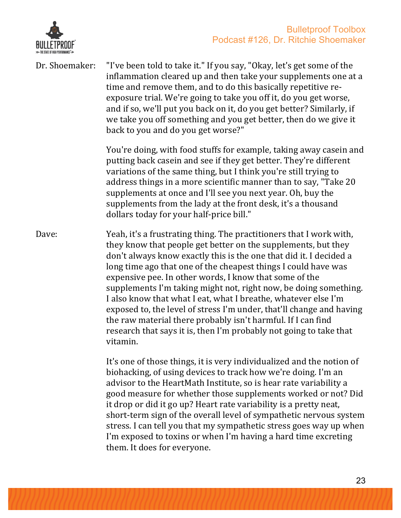

Dr. Shoemaker: "I've been told to take it." If you say, "Okay, let's get some of the inflammation cleared up and then take your supplements one at a time and remove them, and to do this basically repetitive reexposure trial. We're going to take you off it, do you get worse, and if so, we'll put you back on it, do you get better? Similarly, if we take you off something and you get better, then do we give it

back to you and do you get worse?"

You're doing, with food stuffs for example, taking away casein and putting back casein and see if they get better. They're different variations of the same thing, but I think you're still trying to address things in a more scientific manner than to say, "Take 20 supplements at once and I'll see you next year. Oh, buy the supplements from the lady at the front desk, it's a thousand dollars today for your half-price bill."

Dave: Yeah, it's a frustrating thing. The practitioners that I work with, they know that people get better on the supplements, but they don't always know exactly this is the one that did it. I decided a long time ago that one of the cheapest things I could have was expensive pee. In other words, I know that some of the supplements I'm taking might not, right now, be doing something. I also know that what I eat, what I breathe, whatever else I'm exposed to, the level of stress I'm under, that'll change and having the raw material there probably isn't harmful. If I can find research that says it is, then I'm probably not going to take that vitamin.

> It's one of those things, it is very individualized and the notion of biohacking, of using devices to track how we're doing. I'm an advisor to the HeartMath Institute, so is hear rate variability a good measure for whether those supplements worked or not? Did it drop or did it go up? Heart rate variability is a pretty neat, short-term sign of the overall level of sympathetic nervous system stress. I can tell you that my sympathetic stress goes way up when I'm exposed to toxins or when I'm having a hard time excreting them. It does for everyone.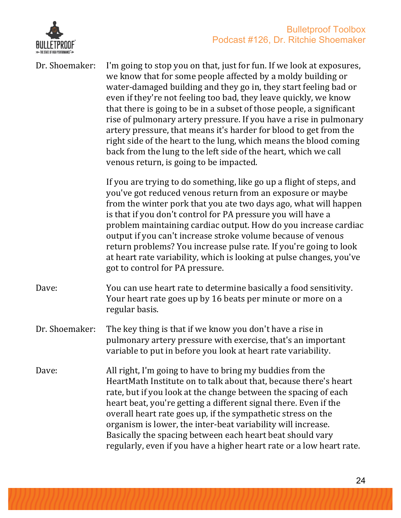

| Dr. Shoemaker: | I'm going to stop you on that, just for fun. If we look at exposures,<br>we know that for some people affected by a moldy building or<br>water-damaged building and they go in, they start feeling bad or<br>even if they're not feeling too bad, they leave quickly, we know<br>that there is going to be in a subset of those people, a significant<br>rise of pulmonary artery pressure. If you have a rise in pulmonary<br>artery pressure, that means it's harder for blood to get from the<br>right side of the heart to the lung, which means the blood coming<br>back from the lung to the left side of the heart, which we call<br>venous return, is going to be impacted. |
|----------------|-------------------------------------------------------------------------------------------------------------------------------------------------------------------------------------------------------------------------------------------------------------------------------------------------------------------------------------------------------------------------------------------------------------------------------------------------------------------------------------------------------------------------------------------------------------------------------------------------------------------------------------------------------------------------------------|
|                | If you are trying to do something, like go up a flight of steps, and<br>you've got reduced venous return from an exposure or maybe<br>from the winter pork that you ate two days ago, what will happen<br>is that if you don't control for PA pressure you will have a<br>problem maintaining cardiac output. How do you increase cardiac<br>output if you can't increase stroke volume because of venous<br>return problems? You increase pulse rate. If you're going to look<br>at heart rate variability, which is looking at pulse changes, you've<br>got to control for PA pressure.                                                                                           |
| Dave:          | You can use heart rate to determine basically a food sensitivity.<br>Your heart rate goes up by 16 beats per minute or more on a<br>regular basis.                                                                                                                                                                                                                                                                                                                                                                                                                                                                                                                                  |
| Dr. Shoemaker: | The key thing is that if we know you don't have a rise in<br>pulmonary artery pressure with exercise, that's an important<br>variable to put in before you look at heart rate variability.                                                                                                                                                                                                                                                                                                                                                                                                                                                                                          |
| Dave:          | All right, I'm going to have to bring my buddies from the<br>HeartMath Institute on to talk about that, because there's heart<br>rate, but if you look at the change between the spacing of each<br>heart beat, you're getting a different signal there. Even if the<br>overall heart rate goes up, if the sympathetic stress on the<br>organism is lower, the inter-beat variability will increase.<br>Basically the spacing between each heart beat should vary<br>regularly, even if you have a higher heart rate or a low heart rate.                                                                                                                                           |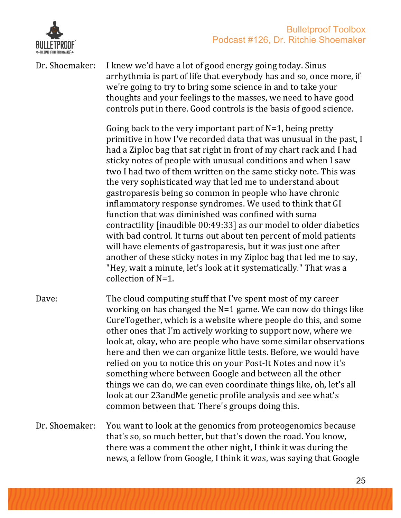

Dr. Shoemaker: I knew we'd have a lot of good energy going today. Sinus arrhythmia is part of life that everybody has and so, once more, if we're going to try to bring some science in and to take your thoughts and your feelings to the masses, we need to have good controls put in there. Good controls is the basis of good science.

> Going back to the very important part of  $N=1$ , being pretty primitive in how I've recorded data that was unusual in the past, I had a Ziploc bag that sat right in front of my chart rack and I had sticky notes of people with unusual conditions and when I saw two I had two of them written on the same sticky note. This was the very sophisticated way that led me to understand about gastroparesis being so common in people who have chronic inflammatory response syndromes. We used to think that GI function that was diminished was confined with suma contractility [inaudible 00:49:33] as our model to older diabetics with bad control. It turns out about ten percent of mold patients will have elements of gastroparesis, but it was just one after another of these sticky notes in my Ziploc bag that led me to say, "Hey, wait a minute, let's look at it systematically." That was a collection of  $N=1$ .

- Dave: The cloud computing stuff that I've spent most of my career working on has changed the  $N=1$  game. We can now do things like CureTogether, which is a website where people do this, and some other ones that I'm actively working to support now, where we look at, okay, who are people who have some similar observations here and then we can organize little tests. Before, we would have relied on you to notice this on your Post-It Notes and now it's something where between Google and between all the other things we can do, we can even coordinate things like, oh, let's all look at our 23andMe genetic profile analysis and see what's common between that. There's groups doing this.
- Dr. Shoemaker: You want to look at the genomics from proteogenomics because that's so, so much better, but that's down the road. You know, there was a comment the other night, I think it was during the news, a fellow from Google, I think it was, was saying that Google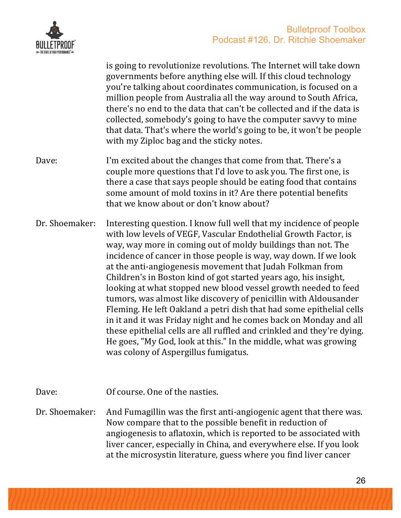

is going to revolutionize revolutions. The Internet will take down governments before anything else will. If this cloud technology you're talking about coordinates communication, is focused on a million people from Australia all the way around to South Africa, there's no end to the data that can't be collected and if the data is collected, somebody's going to have the computer savvy to mine that data. That's where the world's going to be, it won't be people with my Ziploc bag and the sticky notes. Dave: I'm excited about the changes that come from that. There's a

- couple more questions that I'd love to ask you. The first one, is there a case that says people should be eating food that contains some amount of mold toxins in it? Are there potential benefits that we know about or don't know about?
- Dr. Shoemaker: Interesting question. I know full well that my incidence of people with low levels of VEGF, Vascular Endothelial Growth Factor, is way, way more in coming out of moldy buildings than not. The incidence of cancer in those people is way, way down. If we look at the anti-angiogenesis movement that Judah Folkman from Children's in Boston kind of got started years ago, his insight, looking at what stopped new blood vessel growth needed to feed tumors, was almost like discovery of penicillin with Aldousander Fleming. He left Oakland a petri dish that had some epithelial cells in it and it was Friday night and he comes back on Monday and all these epithelial cells are all ruffled and crinkled and they're dying. He goes, "My God, look at this." In the middle, what was growing was colony of Aspergillus fumigatus.
- Dave: 0f course. One of the nasties.
- Dr. Shoemaker: And Fumagillin was the first anti-angiogenic agent that there was. Now compare that to the possible benefit in reduction of angiogenesis to aflatoxin, which is reported to be associated with liver cancer, especially in China, and everywhere else. If you look at the microsystin literature, guess where you find liver cancer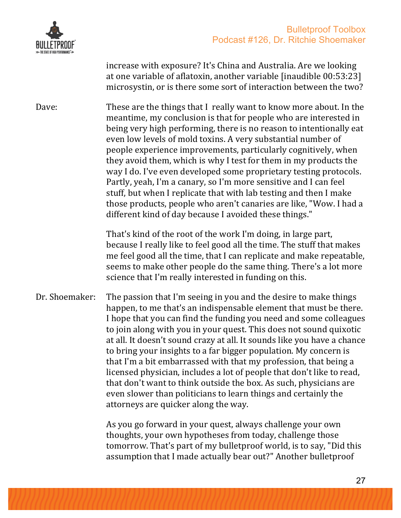

increase with exposure? It's China and Australia. Are we looking at one variable of aflatoxin, another variable  $\lceil$ inaudible  $00:53:23\rceil$ microsystin, or is there some sort of interaction between the two?

Dave: These are the things that I really want to know more about. In the meantime, my conclusion is that for people who are interested in being very high performing, there is no reason to intentionally eat even low levels of mold toxins. A very substantial number of people experience improvements, particularly cognitively, when they avoid them, which is why I test for them in my products the way I do. I've even developed some proprietary testing protocols. Partly, yeah, I'm a canary, so I'm more sensitive and I can feel stuff, but when I replicate that with lab testing and then I make those products, people who aren't canaries are like, "Wow. I had a different kind of day because I avoided these things."

> That's kind of the root of the work I'm doing, in large part, because I really like to feel good all the time. The stuff that makes me feel good all the time, that I can replicate and make repeatable, seems to make other people do the same thing. There's a lot more science that I'm really interested in funding on this.

Dr. Shoemaker: The passion that I'm seeing in you and the desire to make things happen, to me that's an indispensable element that must be there. I hope that you can find the funding you need and some colleagues to join along with you in your quest. This does not sound quixotic at all. It doesn't sound crazy at all. It sounds like you have a chance to bring your insights to a far bigger population. My concern is that I'm a bit embarrassed with that my profession, that being a licensed physician, includes a lot of people that don't like to read, that don't want to think outside the box. As such, physicians are even slower than politicians to learn things and certainly the attorneys are quicker along the way.

> As you go forward in your quest, always challenge your own thoughts, your own hypotheses from today, challenge those tomorrow. That's part of my bulletproof world, is to say, "Did this assumption that I made actually bear out?" Another bulletproof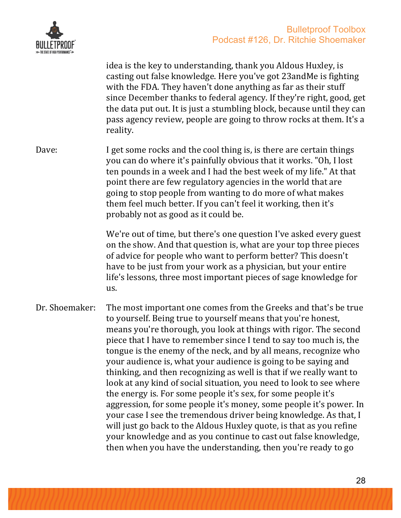

idea is the key to understanding, thank you Aldous Huxley, is casting out false knowledge. Here you've got 23andMe is fighting with the FDA. They haven't done anything as far as their stuff since December thanks to federal agency. If they're right, good, get the data put out. It is just a stumbling block, because until they can pass agency review, people are going to throw rocks at them. It's a reality.

Dave: I get some rocks and the cool thing is, is there are certain things you can do where it's painfully obvious that it works. "Oh, I lost ten pounds in a week and I had the best week of my life." At that point there are few regulatory agencies in the world that are going to stop people from wanting to do more of what makes them feel much better. If you can't feel it working, then it's probably not as good as it could be.

> We're out of time, but there's one question I've asked every guest on the show. And that question is, what are your top three pieces of advice for people who want to perform better? This doesn't have to be just from your work as a physician, but your entire life's lessons, three most important pieces of sage knowledge for us.

Dr. Shoemaker: The most important one comes from the Greeks and that's be true to vourself. Being true to yourself means that you're honest, means you're thorough, you look at things with rigor. The second piece that I have to remember since I tend to say too much is, the tongue is the enemy of the neck, and by all means, recognize who your audience is, what your audience is going to be saying and thinking, and then recognizing as well is that if we really want to look at any kind of social situation, you need to look to see where the energy is. For some people it's sex, for some people it's aggression, for some people it's money, some people it's power. In your case I see the tremendous driver being knowledge. As that, I will just go back to the Aldous Huxley quote, is that as you refine your knowledge and as you continue to cast out false knowledge, then when you have the understanding, then you're ready to go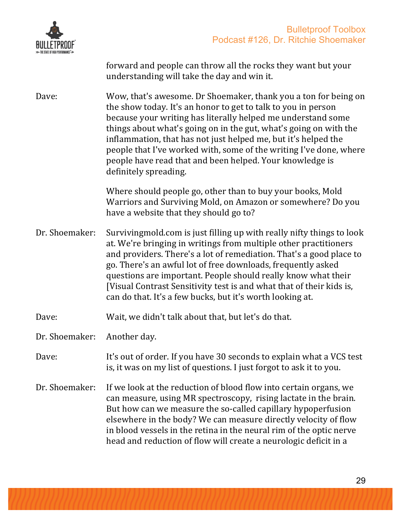



forward and people can throw all the rocks they want but your understanding will take the day and win it.

Dave: Wow, that's awesome. Dr Shoemaker, thank you a ton for being on the show today. It's an honor to get to talk to you in person because your writing has literally helped me understand some things about what's going on in the gut, what's going on with the inflammation, that has not just helped me, but it's helped the people that I've worked with, some of the writing I've done, where people have read that and been helped. Your knowledge is definitely spreading.

> Where should people go, other than to buy your books, Mold Warriors and Surviving Mold, on Amazon or somewhere? Do you have a website that they should go to?

Dr. Shoemaker: Survivingmold.com is just filling up with really nifty things to look at. We're bringing in writings from multiple other practitioners and providers. There's a lot of remediation. That's a good place to go. There's an awful lot of free downloads, frequently asked questions are important. People should really know what their [Visual Contrast Sensitivity test is and what that of their kids is, can do that. It's a few bucks, but it's worth looking at.

Dave: Wait, we didn't talk about that, but let's do that.

Dr. Shoemaker: Another day.

#### Dave: It's out of order. If you have 30 seconds to explain what a VCS test is, it was on my list of questions. I just forgot to ask it to you.

Dr. Shoemaker: If we look at the reduction of blood flow into certain organs, we can measure, using MR spectroscopy, rising lactate in the brain. But how can we measure the so-called capillary hypoperfusion elsewhere in the body? We can measure directly velocity of flow in blood vessels in the retina in the neural rim of the optic nerve head and reduction of flow will create a neurologic deficit in a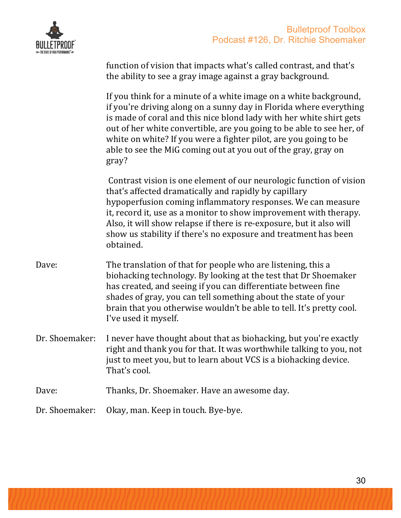

|                | function of vision that impacts what's called contrast, and that's<br>the ability to see a gray image against a gray background.                                                                                                                                                                                                                                                                                                       |
|----------------|----------------------------------------------------------------------------------------------------------------------------------------------------------------------------------------------------------------------------------------------------------------------------------------------------------------------------------------------------------------------------------------------------------------------------------------|
|                | If you think for a minute of a white image on a white background,<br>if you're driving along on a sunny day in Florida where everything<br>is made of coral and this nice blond lady with her white shirt gets<br>out of her white convertible, are you going to be able to see her, of<br>white on white? If you were a fighter pilot, are you going to be<br>able to see the MiG coming out at you out of the gray, gray on<br>gray? |
|                | Contrast vision is one element of our neurologic function of vision<br>that's affected dramatically and rapidly by capillary<br>hypoperfusion coming inflammatory responses. We can measure<br>it, record it, use as a monitor to show improvement with therapy.<br>Also, it will show relapse if there is re-exposure, but it also will<br>show us stability if there's no exposure and treatment has been<br>obtained.               |
| Dave:          | The translation of that for people who are listening, this a<br>biohacking technology. By looking at the test that Dr Shoemaker<br>has created, and seeing if you can differentiate between fine<br>shades of gray, you can tell something about the state of your<br>brain that you otherwise wouldn't be able to tell. It's pretty cool.<br>I've used it myself.                                                                     |
| Dr. Shoemaker: | I never have thought about that as biohacking, but you're exactly<br>right and thank you for that. It was worthwhile talking to you, not<br>just to meet you, but to learn about VCS is a biohacking device.<br>That's cool.                                                                                                                                                                                                           |
| Dave:          | Thanks, Dr. Shoemaker. Have an awesome day.                                                                                                                                                                                                                                                                                                                                                                                            |
| Dr. Shoemaker: | Okay, man. Keep in touch. Bye-bye.                                                                                                                                                                                                                                                                                                                                                                                                     |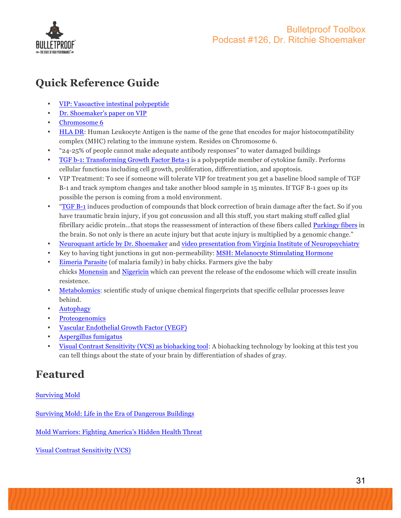

# **Quick Reference Guide**

- VIP: Vasoactive intestinal polypeptide
- Dr. Shoemaker's paper on VIP
- Chromosome 6
- HLA DR: Human Leukocyte Antigen is the name of the gene that encodes for major histocompatibility complex (MHC) relating to the immune system. Resides on Chromosome 6.
- "24-25% of people cannot make adequate antibody responses" to water damaged buildings
- TGF b-1: Transforming Growth Factor Beta-1 is a polypeptide member of cytokine family. Performs cellular functions including cell growth, proliferation, differentiation, and apoptosis.
- VIP Treatment: To see if someone will tolerate VIP for treatment you get a baseline blood sample of TGF B-1 and track symptom changes and take another blood sample in 15 minutes. If TGF B-1 goes up its possible the person is coming from a mold environment.
- "TGF B-1 induces production of compounds that block correction of brain damage after the fact. So if you have traumatic brain injury, if you got concussion and all this stuff, you start making stuff called glial fibrillary acidic protein…that stops the reassessment of interaction of these fibers called Purkingy fibers in the brain. So not only is there an acute injury but that acute injury is multiplied by a genomic change."
- Neuroquant article by Dr. Shoemaker and video presentation from Virginia Institute of Neuropsychiatry
- Key to having tight junctions in gut non-permeability: MSH: Melanocyte Stimulating Hormone
- Eimeria Parasite (of malaria family) in baby chicks. Farmers give the baby chicks Monensin and Nigericin which can prevent the release of the endosome which will create insulin resistence.
- Metabolomics: scientific study of unique chemical fingerprints that specific cellular processes leave behind.
- Autophagy
- **Proteogenomics**
- Vascular Endothelial Growth Factor (VEGF)
- Aspergillus fumigatus
- Visual Contrast Sensitivity (VCS) as biohacking tool: A biohacking technology by looking at this test you can tell things about the state of your brain by differentiation of shades of gray.

## **Featured**

#### Surviving Mold

Surviving Mold: Life in the Era of Dangerous Buildings

Mold Warriors: Fighting America's Hidden Health Threat

Visual Contrast Sensitivity (VCS)